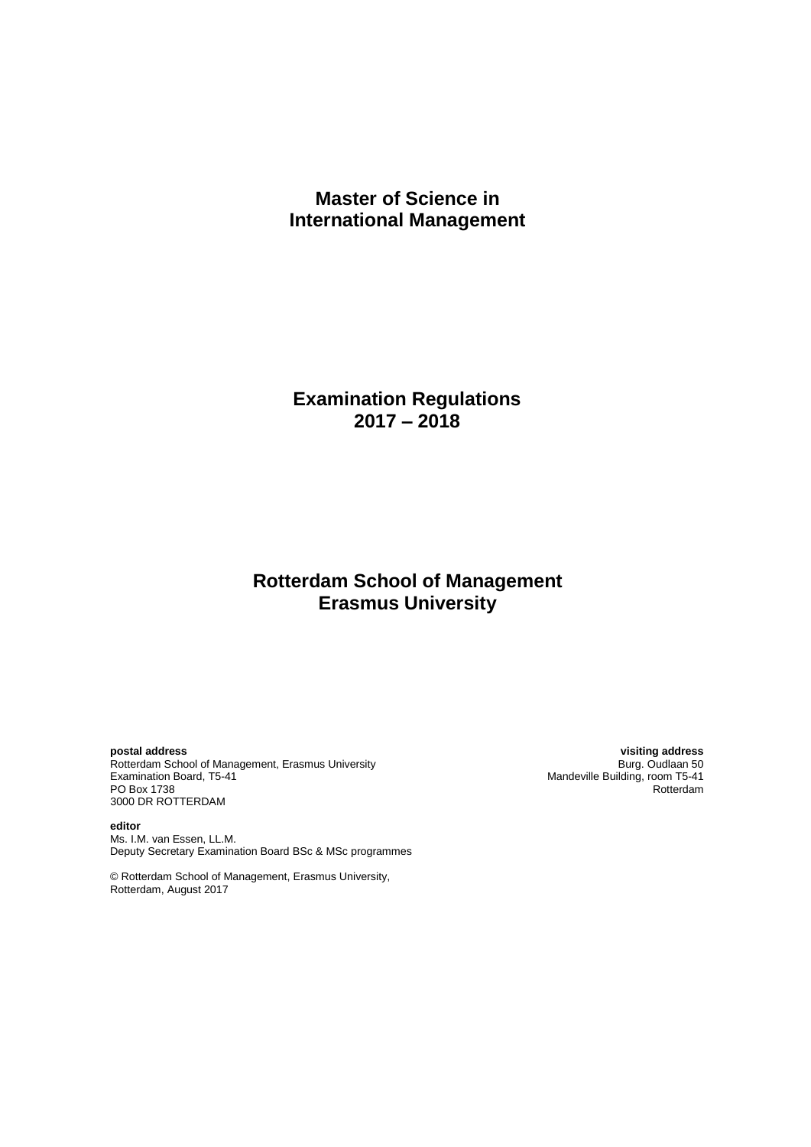# **Master of Science in International Management**

**Examination Regulations 2017 – 2018**

# **Rotterdam School of Management Erasmus University**

**postal address visiting address** Rotterdam School of Management, Erasmus University<br>Examination Board, T5-41 Examination Board, T5-41 Mandeville Building, room T5-41 Mandeville Building, room T5-41 PO Box 1738 PO Box 1738 Rotterdam and the contract of the contract of the contract of the contract of the contract of the contract of the contract of the contract of the contract of the contract of the contract of the contract of the 3000 DR ROTTERDAM

**editor** Ms. I.M. van Essen, LL.M. Deputy Secretary Examination Board BSc & MSc programmes

© Rotterdam School of Management, Erasmus University, Rotterdam, August 2017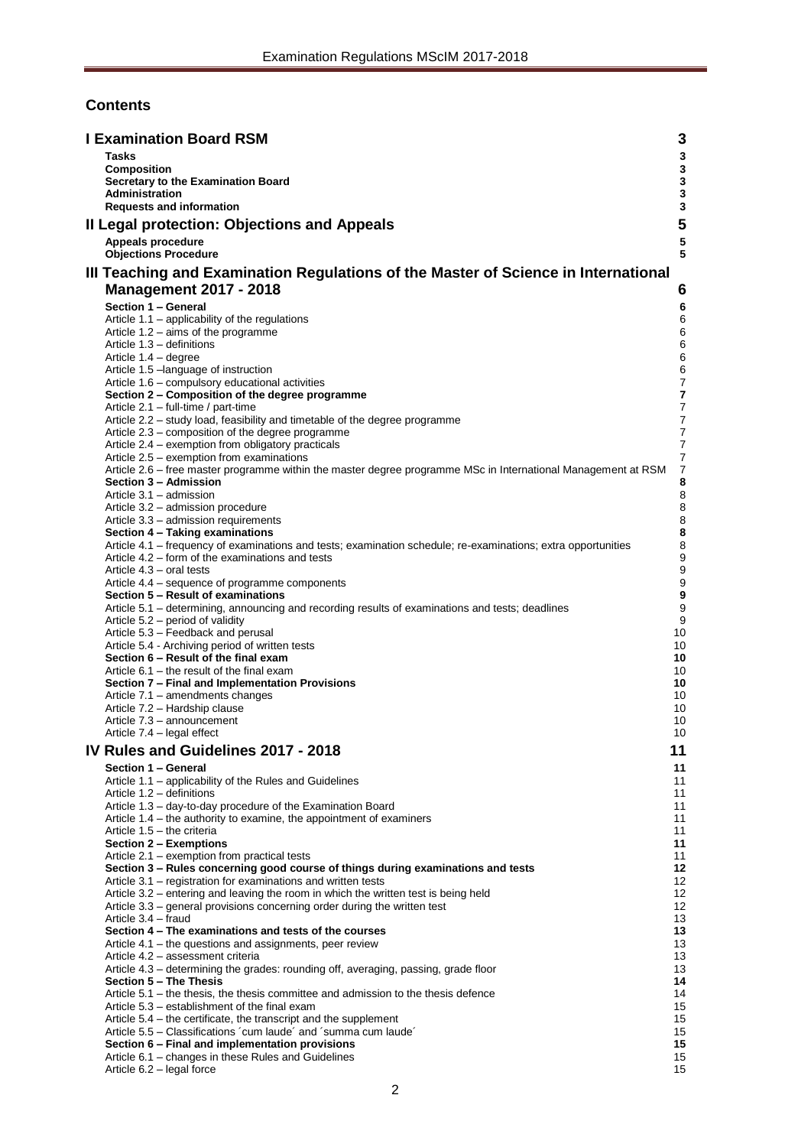# **Contents**

| <b>I Examination Board RSM</b>                                                                                                                             | 3                                |
|------------------------------------------------------------------------------------------------------------------------------------------------------------|----------------------------------|
| <b>Tasks</b>                                                                                                                                               | 3                                |
| <b>Composition</b>                                                                                                                                         | $\mathbf{3}$                     |
| Secretary to the Examination Board                                                                                                                         | 3                                |
| <b>Administration</b><br><b>Requests and information</b>                                                                                                   | 3<br>3                           |
|                                                                                                                                                            |                                  |
| Il Legal protection: Objections and Appeals                                                                                                                | 5                                |
| Appeals procedure                                                                                                                                          | 5                                |
| <b>Objections Procedure</b>                                                                                                                                | 5                                |
| III Teaching and Examination Regulations of the Master of Science in International                                                                         |                                  |
| <b>Management 2017 - 2018</b>                                                                                                                              | 6                                |
| Section 1 - General                                                                                                                                        | 6                                |
| Article 1.1 – applicability of the regulations<br>Article $1.2 - \text{aims of the programme}$                                                             | 6<br>6                           |
| Article 1.3 - definitions                                                                                                                                  | 6                                |
| Article 1.4 - degree                                                                                                                                       | 6                                |
| Article 1.5 - language of instruction                                                                                                                      | 6                                |
| Article 1.6 – compulsory educational activities                                                                                                            | $\overline{7}$<br>$\overline{7}$ |
| Section 2 – Composition of the degree programme<br>Article 2.1 – full-time / part-time                                                                     | 7                                |
| Article 2.2 - study load, feasibility and timetable of the degree programme                                                                                | 7                                |
| Article 2.3 - composition of the degree programme                                                                                                          | 7                                |
| Article 2.4 – exemption from obligatory practicals                                                                                                         | $\overline{7}$                   |
| Article 2.5 - exemption from examinations<br>Article 2.6 – free master programme within the master degree programme MSc in International Management at RSM | 7<br>7                           |
| Section 3 - Admission                                                                                                                                      | 8                                |
| Article 3.1 - admission                                                                                                                                    | 8                                |
| Article 3.2 – admission procedure                                                                                                                          | 8                                |
| Article 3.3 - admission requirements<br>Section 4 - Taking examinations                                                                                    | 8<br>8                           |
| Article 4.1 – frequency of examinations and tests; examination schedule; re-examinations; extra opportunities                                              | 8                                |
| Article 4.2 – form of the examinations and tests                                                                                                           | 9                                |
| Article 4.3 – oral tests                                                                                                                                   | 9                                |
| Article 4.4 – sequence of programme components<br>Section 5 - Result of examinations                                                                       | 9<br>9                           |
| Article 5.1 – determining, announcing and recording results of examinations and tests; deadlines                                                           | 9                                |
| Article 5.2 – period of validity                                                                                                                           | 9                                |
| Article 5.3 - Feedback and perusal                                                                                                                         | 10                               |
| Article 5.4 - Archiving period of written tests<br>Section 6 - Result of the final exam                                                                    | 10<br>10                         |
| Article $6.1$ – the result of the final exam                                                                                                               | 10                               |
| Section 7 - Final and Implementation Provisions                                                                                                            | 10                               |
| Article 7.1 - amendments changes                                                                                                                           | 10                               |
| Article 7.2 - Hardship clause<br>Article 7.3 - announcement                                                                                                | 10<br>10                         |
| Article 7.4 – legal effect                                                                                                                                 | 10                               |
| IV Rules and Guidelines 2017 - 2018                                                                                                                        | 11                               |
| Section 1 - General                                                                                                                                        | 11                               |
| Article 1.1 – applicability of the Rules and Guidelines                                                                                                    | 11                               |
| Article 1.2 - definitions                                                                                                                                  | 11                               |
| Article 1.3 - day-to-day procedure of the Examination Board                                                                                                | 11                               |
| Article 1.4 - the authority to examine, the appointment of examiners<br>Article 1.5 - the criteria                                                         | 11<br>11                         |
| Section 2 – Exemptions                                                                                                                                     | 11                               |
| Article 2.1 - exemption from practical tests                                                                                                               | 11                               |
| Section 3 - Rules concerning good course of things during examinations and tests                                                                           | 12                               |
| Article 3.1 – registration for examinations and written tests<br>Article 3.2 – entering and leaving the room in which the written test is being held       | 12<br>12 <sup>2</sup>            |
| Article 3.3 - general provisions concerning order during the written test                                                                                  | 12                               |
| Article 3.4 - fraud                                                                                                                                        | 13                               |
| Section 4 - The examinations and tests of the courses                                                                                                      | 13                               |
| Article 4.1 – the questions and assignments, peer review                                                                                                   | 13                               |
| Article 4.2 - assessment criteria<br>Article 4.3 - determining the grades: rounding off, averaging, passing, grade floor                                   | 13<br>13                         |
| Section 5 - The Thesis                                                                                                                                     | 14                               |
| Article $5.1$ – the thesis, the thesis committee and admission to the thesis defence                                                                       | 14                               |
| Article 5.3 – establishment of the final exam                                                                                                              | 15                               |
| Article 5.4 – the certificate, the transcript and the supplement<br>Article 5.5 – Classifications 'cum laude' and 'summa cum laude'                        | 15<br>15                         |
| Section 6 - Final and implementation provisions                                                                                                            | 15                               |
| Article 6.1 - changes in these Rules and Guidelines                                                                                                        | 15                               |
| Article 6.2 - legal force                                                                                                                                  | 15                               |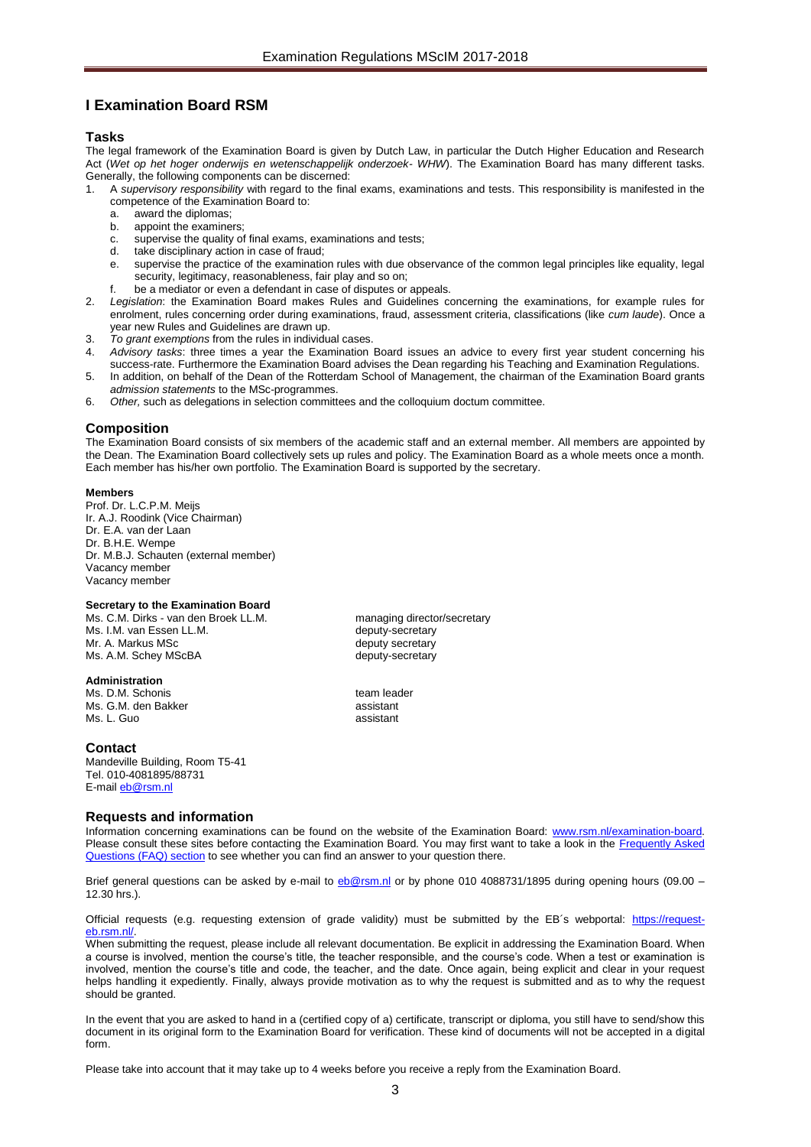# <span id="page-2-0"></span>**I Examination Board RSM**

### <span id="page-2-1"></span>**Tasks**

The legal framework of the Examination Board is given by Dutch Law, in particular the Dutch Higher Education and Research Act (*Wet op het hoger onderwijs en wetenschappelijk onderzoek- WHW*). The Examination Board has many different tasks. Generally, the following components can be discerned:

- 1. A *supervisory responsibility* with regard to the final exams, examinations and tests. This responsibility is manifested in the competence of the Examination Board to:
	-
	- a. award the diplomas;<br>b. appoint the examine appoint the examiners;
	- c. supervise the quality of final exams, examinations and tests;
	- d. take disciplinary action in case of fraud;
	- e. supervise the practice of the examination rules with due observance of the common legal principles like equality, legal security, legitimacy, reasonableness, fair play and so on;
	- f. be a mediator or even a defendant in case of disputes or appeals.
- 2. *Legislation*: the Examination Board makes Rules and Guidelines concerning the examinations, for example rules for enrolment, rules concerning order during examinations, fraud, assessment criteria, classifications (like *cum laude*). Once a year new Rules and Guidelines are drawn up.
- 3. *To grant exemptions* from the rules in individual cases.
- 4. *Advisory tasks*: three times a year the Examination Board issues an advice to every first year student concerning his success-rate. Furthermore the Examination Board advises the Dean regarding his Teaching and Examination Regulations.
- 5. In addition, on behalf of the Dean of the Rotterdam School of Management, the chairman of the Examination Board grants *admission statements* to the MSc-programmes.
- 6. *Other,* such as delegations in selection committees and the colloquium doctum committee.

#### <span id="page-2-2"></span>**Composition**

The Examination Board consists of six members of the academic staff and an external member. All members are appointed by the Dean. The Examination Board collectively sets up rules and policy. The Examination Board as a whole meets once a month. Each member has his/her own portfolio. The Examination Board is supported by the secretary.

#### **Members**

Prof. Dr. L.C.P.M. Meijs Ir. A.J. Roodink (Vice Chairman) Dr. E.A. van der Laan Dr. B.H.E. Wempe Dr. M.B.J. Schauten (external member) Vacancy member Vacancy member

#### <span id="page-2-3"></span>**Secretary to the Examination Board**

Ms. C.M. Dirks - van den Broek LL.M. managing director/secretary<br>Ms. I.M. van Essen LL.M. managing directory Ms. I.M. van Essen LL.M. Mr. A. Markus MSc deputy secretary Ms. A.M. Schey MScBA deputy-secretary

#### <span id="page-2-4"></span>**Administration**

Ms. D.M. Schonis team leader Ms. G.M. den Bakker assistant Ms. L. Guo assistant

#### **Contact**

Mandeville Building, Room T5-41 Tel. 010-4081895/88731 E-mail [eb@rsm.nl](mailto:eb@rsm.nl)

#### <span id="page-2-5"></span>**Requests and information**

Information concerning examinations can be found on the website of the Examination Board: [www.rsm.nl/examination-board.](http://www.rsm.nl/examination-board) Please consult these sites before contacting the Examination Board. You may first want to take a look in the Frequently Asked [Questions \(FAQ\) section](http://www.rsm.nl/examination-board/frequently-asked-questions-faqs/) to see whether you can find an answer to your question there.

Brief general questions can be asked by e-mail to [eb@rsm.nl](mailto:eb@rsm.nl) or by phone 010 4088731/1895 during opening hours (09.00 – 12.30 hrs.).

Official requests (e.g. requesting extension of grade validity) must be submitted by the EB´s webportal: [https://request](https://request-eb.rsm.nl/)b.rsm.nl/

When submitting the request, please include all relevant documentation. Be explicit in addressing the Examination Board. When a course is involved, mention the course's title, the teacher responsible, and the course's code. When a test or examination is involved, mention the course's title and code, the teacher, and the date. Once again, being explicit and clear in your request helps handling it expediently. Finally, always provide motivation as to why the request is submitted and as to why the request should be granted.

In the event that you are asked to hand in a (certified copy of a) certificate, transcript or diploma, you still have to send/show this document in its original form to the Examination Board for verification. These kind of documents will not be accepted in a digital form.

Please take into account that it may take up to 4 weeks before you receive a reply from the Examination Board.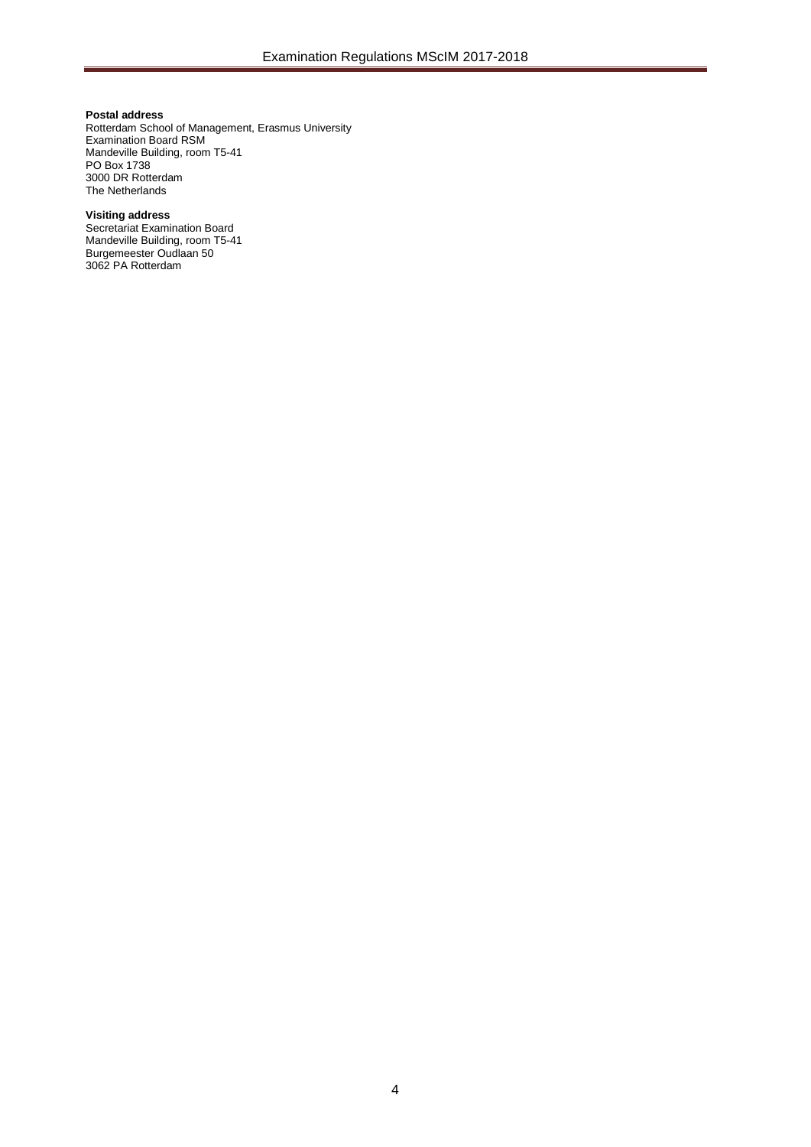### **Postal address**

Rotterdam School of Management, Erasmus University Examination Board RSM Mandeville Building, room T5-41 PO Box 1738 3000 DR Rotterdam The Netherlands

#### **Visiting address**

Secretariat Examination Board Mandeville Building, room T5-41 Burgemeester Oudlaan 50 3062 PA Rotterdam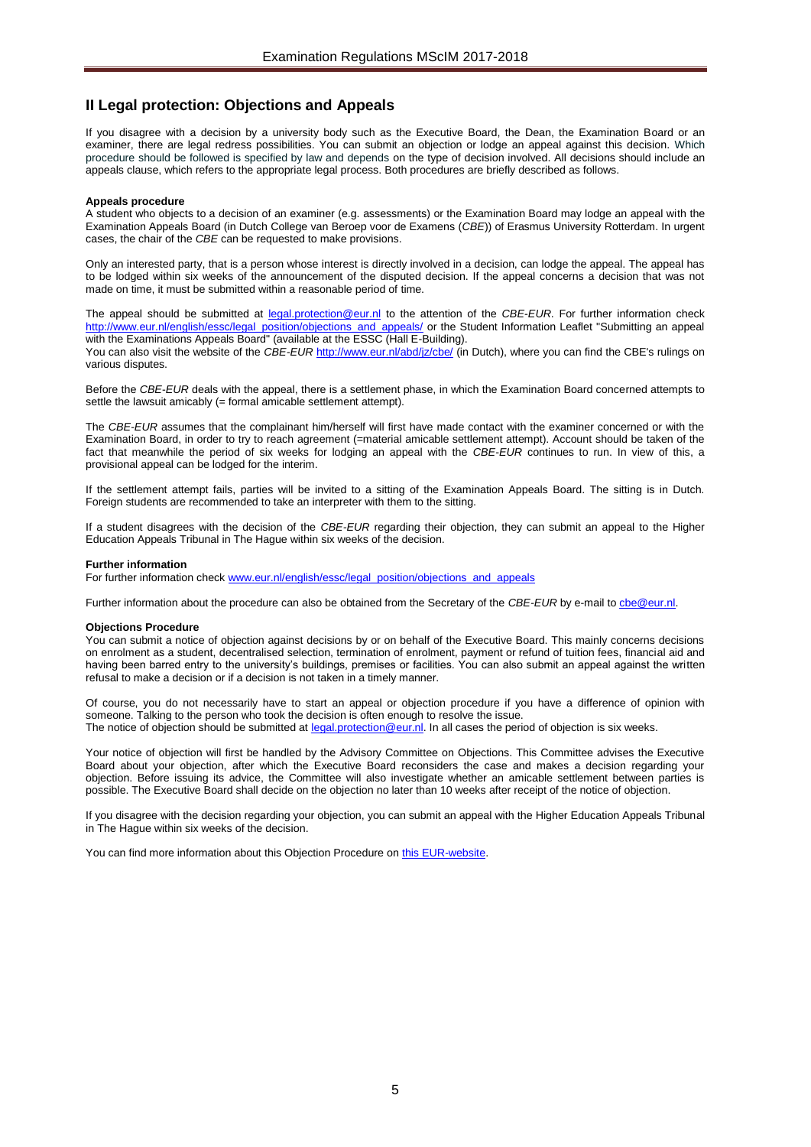# <span id="page-4-0"></span>**II Legal protection: Objections and Appeals**

If you disagree with a decision by a university body such as the Executive Board, the Dean, the Examination Board or an examiner, there are legal redress possibilities. You can submit an objection or lodge an appeal against this decision. Which procedure should be followed is specified by law and depends on the type of decision involved. All decisions should include an appeals clause, which refers to the appropriate legal process. Both procedures are briefly described as follows.

#### <span id="page-4-1"></span>**Appeals procedure**

A student who objects to a decision of an examiner (e.g. assessments) or the Examination Board may lodge an appeal with the Examination Appeals Board (in Dutch College van Beroep voor de Examens (*CBE*)) of Erasmus University Rotterdam. In urgent cases, the chair of the *CBE* can be requested to make provisions.

Only an interested party, that is a person whose interest is directly involved in a decision, can lodge the appeal. The appeal has to be lodged within six weeks of the announcement of the disputed decision. If the appeal concerns a decision that was not made on time, it must be submitted within a reasonable period of time.

The appeal should be submitted at [legal.protection@eur.nl](mailto:legal.protection@eur.nl) to the attention of the *CBE*-*EUR*. For further information check [http://www.eur.nl/english/essc/legal\\_position/objections\\_and\\_appeals/](http://www.eur.nl/english/essc/legal_position/objections_and_appeals/) or the Student Information Leaflet "Submitting an appeal with the Examinations Appeals Board" (available at the ESSC (Hall E-Building).

You can also visit the website of the *CBE-EUR* <http://www.eur.nl/abd/jz/cbe/> (in Dutch), where you can find the CBE's rulings on various disputes.

Before the *CBE*-*EUR* deals with the appeal, there is a settlement phase, in which the Examination Board concerned attempts to settle the lawsuit amicably (= formal amicable settlement attempt).

The *CBE*-*EUR* assumes that the complainant him/herself will first have made contact with the examiner concerned or with the Examination Board, in order to try to reach agreement (=material amicable settlement attempt). Account should be taken of the fact that meanwhile the period of six weeks for lodging an appeal with the *CBE*-*EUR* continues to run. In view of this, a provisional appeal can be lodged for the interim.

If the settlement attempt fails, parties will be invited to a sitting of the Examination Appeals Board. The sitting is in Dutch. Foreign students are recommended to take an interpreter with them to the sitting.

If a student disagrees with the decision of the *CBE-EUR* regarding their objection, they can submit an appeal to the Higher Education Appeals Tribunal in The Hague within six weeks of the decision.

#### **Further information**

For further information chec[k www.eur.nl/english/essc/legal\\_position/objections\\_and\\_appeals](http://www.eur.nl/english/essc/legal_position/objections_and_appeals)

Further information about the procedure can also be obtained from the Secretary of the *CBE-EUR* by e-mail to *che@eur.nl.* 

#### <span id="page-4-2"></span>**Objections Procedure**

You can submit a notice of objection against decisions by or on behalf of the Executive Board. This mainly concerns decisions on enrolment as a student, decentralised selection, termination of enrolment, payment or refund of tuition fees, financial aid and having been barred entry to the university's buildings, premises or facilities. You can also submit an appeal against the written refusal to make a decision or if a decision is not taken in a timely manner.

Of course, you do not necessarily have to start an appeal or objection procedure if you have a difference of opinion with someone. Talking to the person who took the decision is often enough to resolve the issue. The notice of objection should be submitted a[t legal.protection@eur.nl.](mailto:legal.protection@eur.nl) In all cases the period of objection is six weeks.

Your notice of objection will first be handled by the Advisory Committee on Objections. This Committee advises the Executive Board about your objection, after which the Executive Board reconsiders the case and makes a decision regarding your objection. Before issuing its advice, the Committee will also investigate whether an amicable settlement between parties is possible. The Executive Board shall decide on the objection no later than 10 weeks after receipt of the notice of objection.

If you disagree with the decision regarding your objection, you can submit an appeal with the Higher Education Appeals Tribunal in The Hague within six weeks of the decision.

You can find more information about this Objection Procedure on [this EUR-website.](http://www.eur.nl/english/essc/legal_position/objections_and_appeals/)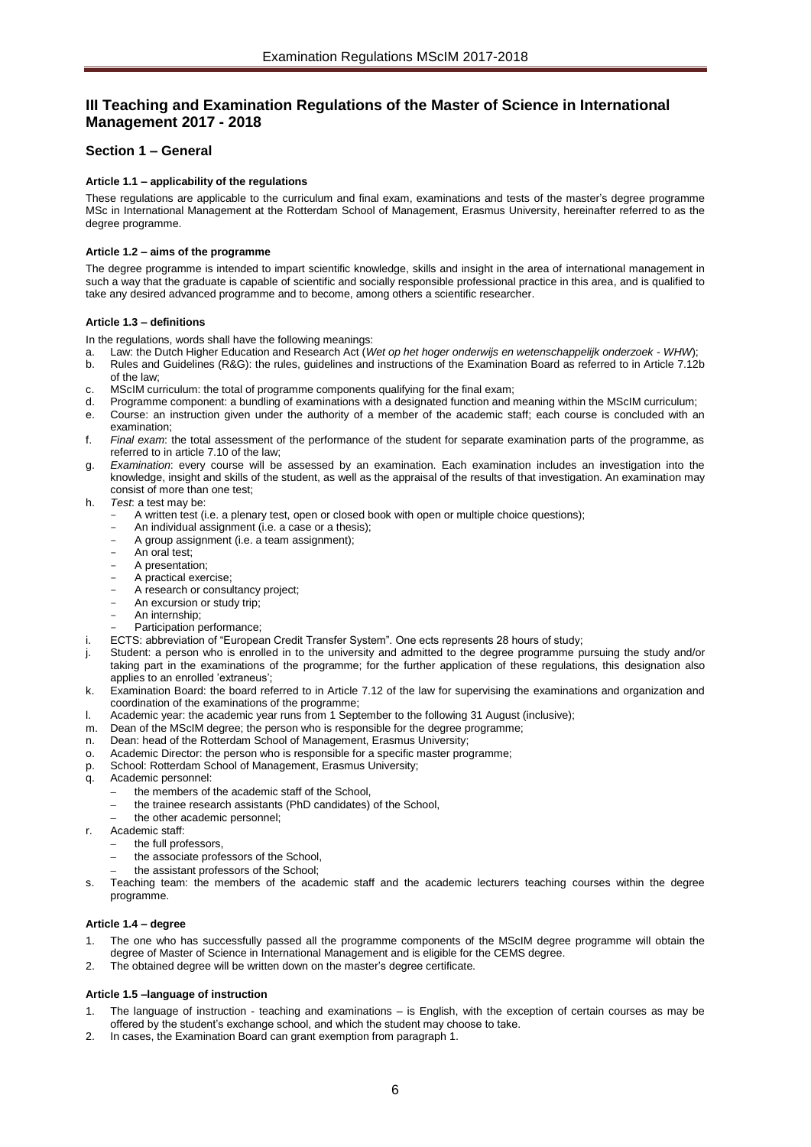# <span id="page-5-0"></span>**III Teaching and Examination Regulations of the Master of Science in International Management 2017 - 2018**

# <span id="page-5-2"></span><span id="page-5-1"></span>**Section 1 – General**

### **Article 1.1 – applicability of the regulations**

These regulations are applicable to the curriculum and final exam, examinations and tests of the master's degree programme MSc in International Management at the Rotterdam School of Management, Erasmus University, hereinafter referred to as the degree programme.

#### <span id="page-5-3"></span>**Article 1.2 – aims of the programme**

The degree programme is intended to impart scientific knowledge, skills and insight in the area of international management in such a way that the graduate is capable of scientific and socially responsible professional practice in this area, and is qualified to take any desired advanced programme and to become, among others a scientific researcher.

#### <span id="page-5-4"></span>**Article 1.3 – definitions**

In the regulations, words shall have the following meanings:

- a. Law: the Dutch Higher Education and Research Act (*Wet op het hoger onderwijs en wetenschappelijk onderzoek WHW*);
- b. Rules and Guidelines (R&G): the rules, guidelines and instructions of the Examination Board as referred to in Article 7.12b of the law;
- c. MScIM curriculum: the total of programme components qualifying for the final exam;
- d. Programme component: a bundling of examinations with a designated function and meaning within the MScIM curriculum;
- e. Course: an instruction given under the authority of a member of the academic staff; each course is concluded with an examination;
- f. *Final exam*: the total assessment of the performance of the student for separate examination parts of the programme, as referred to in article 7.10 of the law;
- g. *Examination*: every course will be assessed by an examination. Each examination includes an investigation into the knowledge, insight and skills of the student, as well as the appraisal of the results of that investigation. An examination may consist of more than one test;
- h. *Test*: a test may be:
	- A written test (i.e. a plenary test, open or closed book with open or multiple choice questions);
	- An individual assignment (i.e. a case or a thesis);
	- A group assignment (i.e. a team assignment);
	- An oral test;
	- A presentation;
	- A practical exercise;
	- A research or consultancy project;
	- An excursion or study trip;
	- An internship;
	- Participation performance:
- ECTS: abbreviation of "European Credit Transfer System". One ects represents 28 hours of study;
- Student: a person who is enrolled in to the university and admitted to the degree programme pursuing the study and/or taking part in the examinations of the programme; for the further application of these regulations, this designation also applies to an enrolled 'extraneus';
- k. Examination Board: the board referred to in Article 7.12 of the law for supervising the examinations and organization and coordination of the examinations of the programme;
- l. Academic year: the academic year runs from 1 September to the following 31 August (inclusive);
- m. Dean of the MScIM degree; the person who is responsible for the degree programme;
- Dean: head of the Rotterdam School of Management, Erasmus University;
- o. Academic Director: the person who is responsible for a specific master programme;
- p. School: Rotterdam School of Management, Erasmus University;
- Academic personnel:
	- the members of the academic staff of the School,
	- the trainee research assistants (PhD candidates) of the School,
	- the other academic personnel;
- r. Academic staff:
	- the full professors,
	- the associate professors of the School,
	- the assistant professors of the School;
- s. Teaching team: the members of the academic staff and the academic lecturers teaching courses within the degree programme.

#### <span id="page-5-5"></span>**Article 1.4 – degree**

- 1. The one who has successfully passed all the programme components of the MScIM degree programme will obtain the degree of Master of Science in International Management and is eligible for the CEMS degree.
- <span id="page-5-6"></span>2. The obtained degree will be written down on the master's degree certificate.

#### **Article 1.5 –language of instruction**

- 1. The language of instruction teaching and examinations is English, with the exception of certain courses as may be offered by the student's exchange school, and which the student may choose to take.
- 2. In cases, the Examination Board can grant exemption from paragraph 1.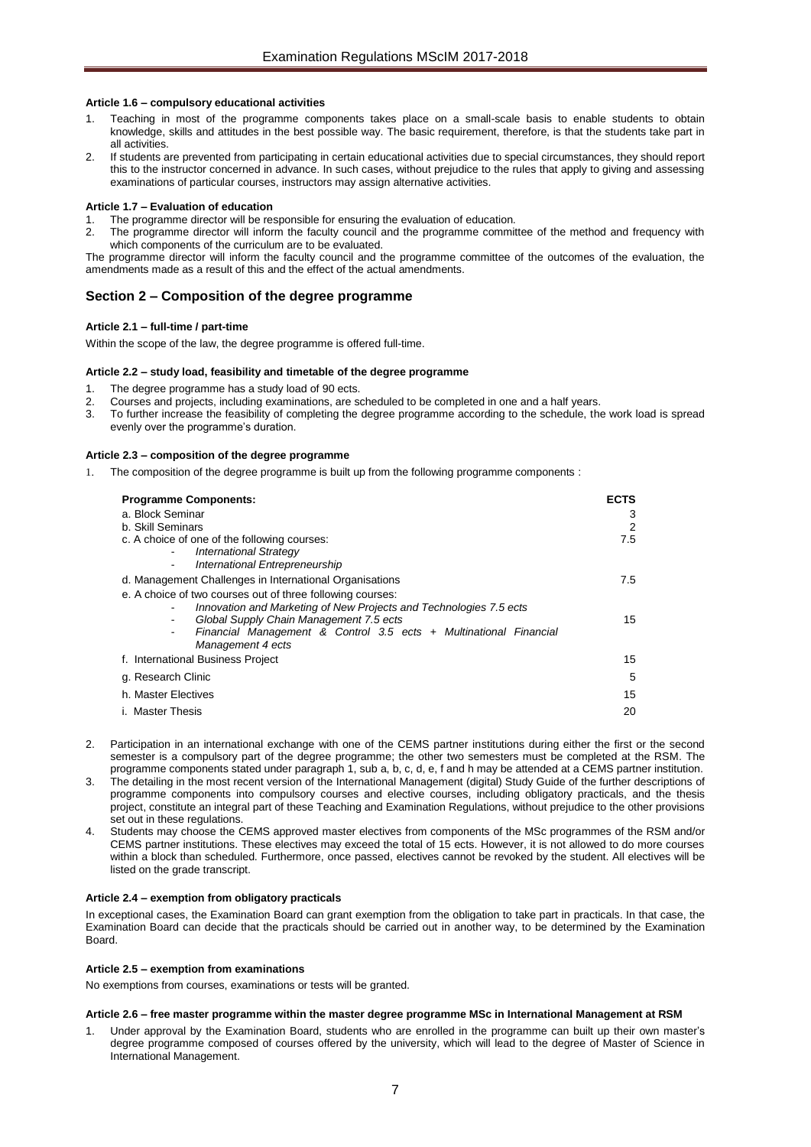#### <span id="page-6-0"></span>**Article 1.6 – compulsory educational activities**

- Teaching in most of the programme components takes place on a small-scale basis to enable students to obtain knowledge, skills and attitudes in the best possible way. The basic requirement, therefore, is that the students take part in all activities.
- 2. If students are prevented from participating in certain educational activities due to special circumstances, they should report this to the instructor concerned in advance. In such cases, without prejudice to the rules that apply to giving and assessing examinations of particular courses, instructors may assign alternative activities.

#### **Article 1.7 – Evaluation of education**

- The programme director will be responsible for ensuring the evaluation of education.
- 2. The programme director will inform the faculty council and the programme committee of the method and frequency with which components of the curriculum are to be evaluated.

The programme director will inform the faculty council and the programme committee of the outcomes of the evaluation, the amendments made as a result of this and the effect of the actual amendments.

# <span id="page-6-2"></span><span id="page-6-1"></span>**Section 2 – Composition of the degree programme**

#### **Article 2.1 – full-time / part-time**

<span id="page-6-3"></span>Within the scope of the law, the degree programme is offered full-time.

#### **Article 2.2 – study load, feasibility and timetable of the degree programme**

- The degree programme has a study load of 90 ects.
- 2. Courses and projects, including examinations, are scheduled to be completed in one and a half years.<br>2. To further increase the feasibility of completing the degree programme according to the schedule, the
- 3. To further increase the feasibility of completing the degree programme according to the schedule, the work load is spread evenly over the programme's duration.

### <span id="page-6-4"></span>**Article 2.3 – composition of the degree programme**

1. The composition of the degree programme is built up from the following programme components :

| <b>Programme Components:</b>                                       | <b>ECTS</b> |
|--------------------------------------------------------------------|-------------|
| a. Block Seminar                                                   | 3           |
| b. Skill Seminars                                                  | 2           |
| c. A choice of one of the following courses:                       | 7.5         |
| <b>International Strategy</b>                                      |             |
| International Entrepreneurship                                     |             |
| d. Management Challenges in International Organisations            | 7.5         |
| e. A choice of two courses out of three following courses:         |             |
| Innovation and Marketing of New Projects and Technologies 7.5 ects |             |
| Global Supply Chain Management 7.5 ects                            | 15          |
| Financial Management & Control 3.5 ects + Multinational Financial  |             |
| Management 4 ects                                                  |             |
| f. International Business Project                                  | 15          |
| g. Research Clinic                                                 | 5           |
| h. Master Electives                                                | 15          |
| i. Master Thesis                                                   | 20          |
|                                                                    |             |

- 2. Participation in an international exchange with one of the CEMS partner institutions during either the first or the second semester is a compulsory part of the degree programme; the other two semesters must be completed at the RSM. The programme components stated under paragraph 1, sub a, b, c, d, e, f and h may be attended at a CEMS partner institution.
- 3. The detailing in the most recent version of the International Management (digital) Study Guide of the further descriptions of programme components into compulsory courses and elective courses, including obligatory practicals, and the thesis project, constitute an integral part of these Teaching and Examination Regulations, without prejudice to the other provisions set out in these regulations.
- Students may choose the CEMS approved master electives from components of the MSc programmes of the RSM and/or CEMS partner institutions. These electives may exceed the total of 15 ects. However, it is not allowed to do more courses within a block than scheduled. Furthermore, once passed, electives cannot be revoked by the student. All electives will be listed on the grade transcript.

#### <span id="page-6-5"></span>**Article 2.4 – exemption from obligatory practicals**

In exceptional cases, the Examination Board can grant exemption from the obligation to take part in practicals. In that case, the Examination Board can decide that the practicals should be carried out in another way, to be determined by the Examination Board.

#### <span id="page-6-6"></span>**Article 2.5 – exemption from examinations**

<span id="page-6-7"></span>No exemptions from courses, examinations or tests will be granted.

#### **Article 2.6 – free master programme within the master degree programme MSc in International Management at RSM**

Under approval by the Examination Board, students who are enrolled in the programme can built up their own master's degree programme composed of courses offered by the university, which will lead to the degree of Master of Science in International Management.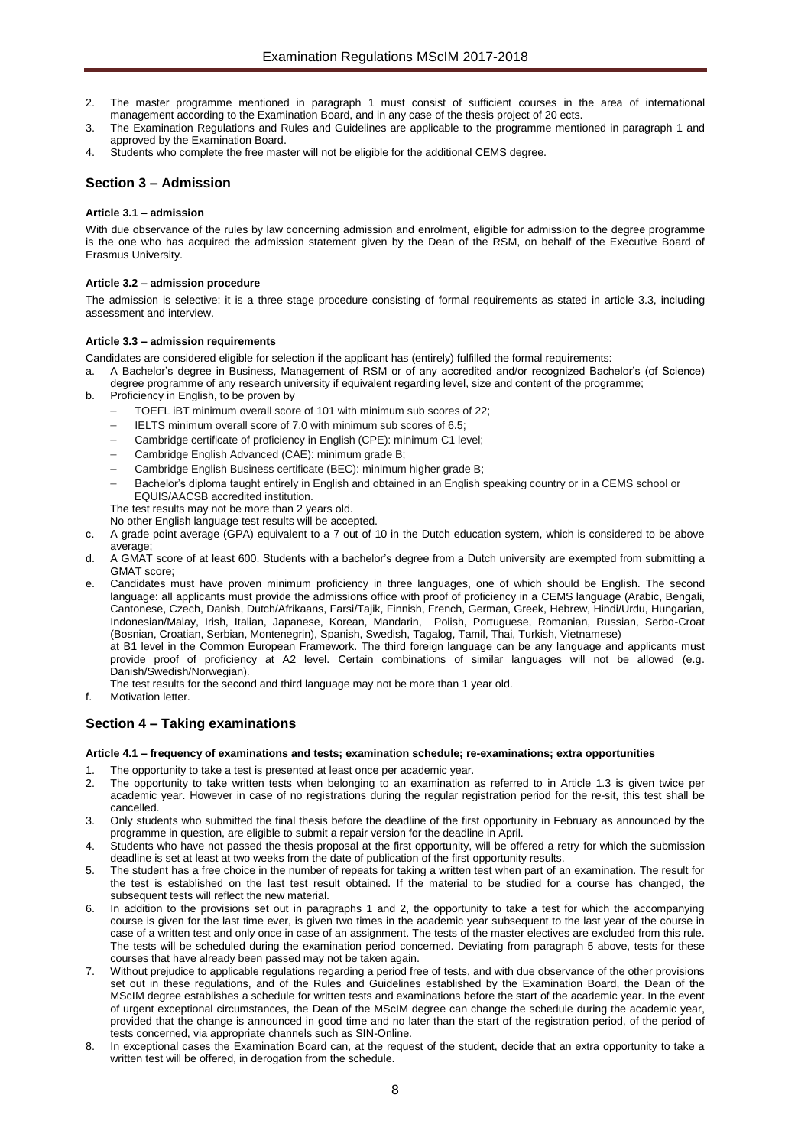- 2. The master programme mentioned in paragraph 1 must consist of sufficient courses in the area of international management according to the Examination Board, and in any case of the thesis project of 20 ects.
- 3. The Examination Regulations and Rules and Guidelines are applicable to the programme mentioned in paragraph 1 and approved by the Examination Board.
- 4. Students who complete the free master will not be eligible for the additional CEMS degree.

## <span id="page-7-1"></span><span id="page-7-0"></span>**Section 3 – Admission**

#### **Article 3.1 – admission**

With due observance of the rules by law concerning admission and enrolment, eligible for admission to the degree programme is the one who has acquired the admission statement given by the Dean of the RSM, on behalf of the Executive Board of Erasmus University.

#### <span id="page-7-2"></span>**Article 3.2 – admission procedure**

The admission is selective: it is a three stage procedure consisting of formal requirements as stated in article 3.3, including assessment and interview.

#### <span id="page-7-3"></span>**Article 3.3 – admission requirements**

Candidates are considered eligible for selection if the applicant has (entirely) fulfilled the formal requirements:

- a. A Bachelor's degree in Business, Management of RSM or of any accredited and/or recognized Bachelor's (of Science) degree programme of any research university if equivalent regarding level, size and content of the programme;
- b. Proficiency in English, to be proven by
	- TOEFL iBT minimum overall score of 101 with minimum sub scores of 22;
	- IELTS minimum overall score of 7.0 with minimum sub scores of 6.5;
	- Cambridge certificate of proficiency in English (CPE): minimum C1 level;
	- Cambridge English Advanced (CAE): minimum grade B;
	- Cambridge English Business certificate (BEC): minimum higher grade B;
	- Bachelor's diploma taught entirely in English and obtained in an English speaking country or in a CEMS school or EQUIS/AACSB accredited institution.
	- The test results may not be more than 2 years old.

No other English language test results will be accepted.

- A grade point average (GPA) equivalent to a 7 out of 10 in the Dutch education system, which is considered to be above average;
- d. A GMAT score of at least 600. Students with a bachelor's degree from a Dutch university are exempted from submitting a GMAT score;
- Candidates must have proven minimum proficiency in three languages, one of which should be English. The second language: all applicants must provide the admissions office with proof of proficiency in a CEMS language (Arabic, Bengali, Cantonese, Czech, Danish, Dutch/Afrikaans, Farsi/Tajik, Finnish, French, German, Greek, Hebrew, Hindi/Urdu, Hungarian, Indonesian/Malay, Irish, Italian, Japanese, Korean, Mandarin, Polish, Portuguese, Romanian, Russian, Serbo-Croat (Bosnian, Croatian, Serbian, Montenegrin), Spanish, Swedish, Tagalog, Tamil, Thai, Turkish, Vietnamese) at B1 level in the Common European Framework. The third foreign language can be any language and applicants must provide proof of proficiency at A2 level. Certain combinations of similar languages will not be allowed (e.g. Danish/Swedish/Norwegian).

The test results for the second and third language may not be more than 1 year old.

f. Motivation letter.

# <span id="page-7-5"></span><span id="page-7-4"></span>**Section 4 – Taking examinations**

#### **Article 4.1 – frequency of examinations and tests; examination schedule; re-examinations; extra opportunities**

- 1. The opportunity to take a test is presented at least once per academic year.<br>2. The opportunity to take written tests when belonging to an examination
- 2. The opportunity to take written tests when belonging to an examination as referred to in Article 1.3 is given twice per academic year. However in case of no registrations during the regular registration period for the re-sit, this test shall be cancelled.
- 3. Only students who submitted the final thesis before the deadline of the first opportunity in February as announced by the programme in question, are eligible to submit a repair version for the deadline in April.
- 4. Students who have not passed the thesis proposal at the first opportunity, will be offered a retry for which the submission deadline is set at least at two weeks from the date of publication of the first opportunity results.
- 5. The student has a free choice in the number of repeats for taking a written test when part of an examination. The result for the test is established on the last test result obtained. If the material to be studied for a course has changed, the subsequent tests will reflect the new material.
- 6. In addition to the provisions set out in paragraphs 1 and 2, the opportunity to take a test for which the accompanying course is given for the last time ever, is given two times in the academic year subsequent to the last year of the course in case of a written test and only once in case of an assignment. The tests of the master electives are excluded from this rule. The tests will be scheduled during the examination period concerned. Deviating from paragraph 5 above, tests for these courses that have already been passed may not be taken again.
- 7. Without prejudice to applicable regulations regarding a period free of tests, and with due observance of the other provisions set out in these regulations, and of the Rules and Guidelines established by the Examination Board, the Dean of the MScIM degree establishes a schedule for written tests and examinations before the start of the academic year. In the event of urgent exceptional circumstances, the Dean of the MScIM degree can change the schedule during the academic year, provided that the change is announced in good time and no later than the start of the registration period, of the period of tests concerned, via appropriate channels such as SIN-Online.
- 8. In exceptional cases the Examination Board can, at the request of the student, decide that an extra opportunity to take a written test will be offered, in derogation from the schedule.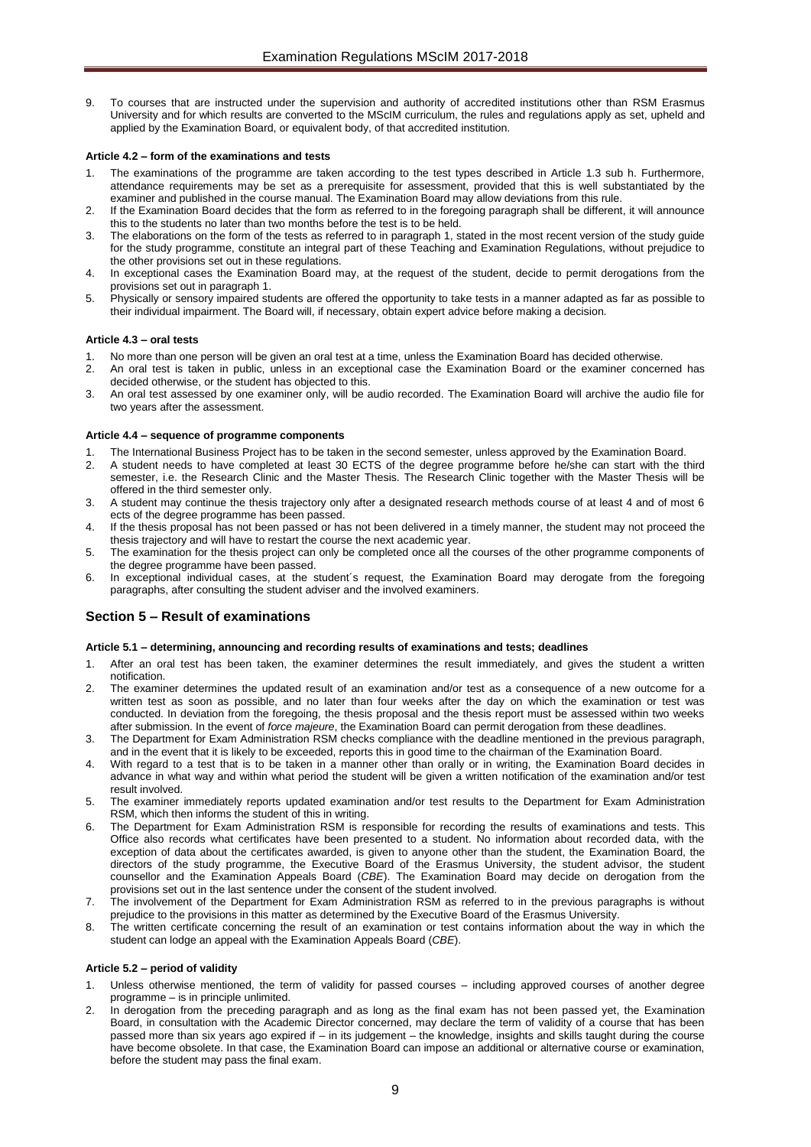To courses that are instructed under the supervision and authority of accredited institutions other than RSM Erasmus University and for which results are converted to the MScIM curriculum, the rules and regulations apply as set, upheld and applied by the Examination Board, or equivalent body, of that accredited institution.

#### <span id="page-8-0"></span>**Article 4.2 – form of the examinations and tests**

- 1. The examinations of the programme are taken according to the test types described in Article 1.3 sub h. Furthermore, attendance requirements may be set as a prerequisite for assessment, provided that this is well substantiated by the examiner and published in the course manual. The Examination Board may allow deviations from this rule.
- 2. If the Examination Board decides that the form as referred to in the foregoing paragraph shall be different, it will announce this to the students no later than two months before the test is to be held.
- 3. The elaborations on the form of the tests as referred to in paragraph 1, stated in the most recent version of the study guide for the study programme, constitute an integral part of these Teaching and Examination Regulations, without prejudice to the other provisions set out in these regulations.
- 4. In exceptional cases the Examination Board may, at the request of the student, decide to permit derogations from the provisions set out in paragraph 1.
- 5. Physically or sensory impaired students are offered the opportunity to take tests in a manner adapted as far as possible to their individual impairment. The Board will, if necessary, obtain expert advice before making a decision.

#### <span id="page-8-1"></span>**Article 4.3 – oral tests**

- No more than one person will be given an oral test at a time, unless the Examination Board has decided otherwise.
- 2. An oral test is taken in public, unless in an exceptional case the Examination Board or the examiner concerned has decided otherwise, or the student has objected to this.
- 3. An oral test assessed by one examiner only, will be audio recorded. The Examination Board will archive the audio file for two years after the assessment.

#### <span id="page-8-2"></span>**Article 4.4 – sequence of programme components**

- 1. The International Business Project has to be taken in the second semester, unless approved by the Examination Board.
- 2. A student needs to have completed at least 30 ECTS of the degree programme before he/she can start with the third semester, i.e. the Research Clinic and the Master Thesis. The Research Clinic together with the Master Thesis will be offered in the third semester only.
- 3. A student may continue the thesis trajectory only after a designated research methods course of at least 4 and of most 6 ects of the degree programme has been passed.
- 4. If the thesis proposal has not been passed or has not been delivered in a timely manner, the student may not proceed the thesis trajectory and will have to restart the course the next academic year.
- 5. The examination for the thesis project can only be completed once all the courses of the other programme components of the degree programme have been passed.
- 6. In exceptional individual cases, at the student´s request, the Examination Board may derogate from the foregoing paragraphs, after consulting the student adviser and the involved examiners.

#### <span id="page-8-4"></span><span id="page-8-3"></span>**Section 5 – Result of examinations**

#### **Article 5.1 – determining, announcing and recording results of examinations and tests; deadlines**

- After an oral test has been taken, the examiner determines the result immediately, and gives the student a written notification.
- 2. The examiner determines the updated result of an examination and/or test as a consequence of a new outcome for a written test as soon as possible, and no later than four weeks after the day on which the examination or test was conducted. In deviation from the foregoing, the thesis proposal and the thesis report must be assessed within two weeks after submission. In the event of *force majeure*, the Examination Board can permit derogation from these deadlines.
- 3. The Department for Exam Administration RSM checks compliance with the deadline mentioned in the previous paragraph, and in the event that it is likely to be exceeded, reports this in good time to the chairman of the Examination Board.
- With regard to a test that is to be taken in a manner other than orally or in writing, the Examination Board decides in advance in what way and within what period the student will be given a written notification of the examination and/or test result involved.
- 5. The examiner immediately reports updated examination and/or test results to the Department for Exam Administration RSM, which then informs the student of this in writing.
- 6. The Department for Exam Administration RSM is responsible for recording the results of examinations and tests. This Office also records what certificates have been presented to a student. No information about recorded data, with the exception of data about the certificates awarded, is given to anyone other than the student, the Examination Board, the directors of the study programme, the Executive Board of the Erasmus University, the student advisor, the student counsellor and the Examination Appeals Board (*CBE*). The Examination Board may decide on derogation from the provisions set out in the last sentence under the consent of the student involved.
- 7. The involvement of the Department for Exam Administration RSM as referred to in the previous paragraphs is without prejudice to the provisions in this matter as determined by the Executive Board of the Erasmus University.
- 8. The written certificate concerning the result of an examination or test contains information about the way in which the student can lodge an appeal with the Examination Appeals Board (*CBE*).

#### <span id="page-8-5"></span>**Article 5.2 – period of validity**

- Unless otherwise mentioned, the term of validity for passed courses including approved courses of another degree programme – is in principle unlimited.
- 2. In derogation from the preceding paragraph and as long as the final exam has not been passed yet, the Examination Board, in consultation with the Academic Director concerned, may declare the term of validity of a course that has been passed more than six years ago expired if – in its judgement – the knowledge, insights and skills taught during the course have become obsolete. In that case, the Examination Board can impose an additional or alternative course or examination, before the student may pass the final exam.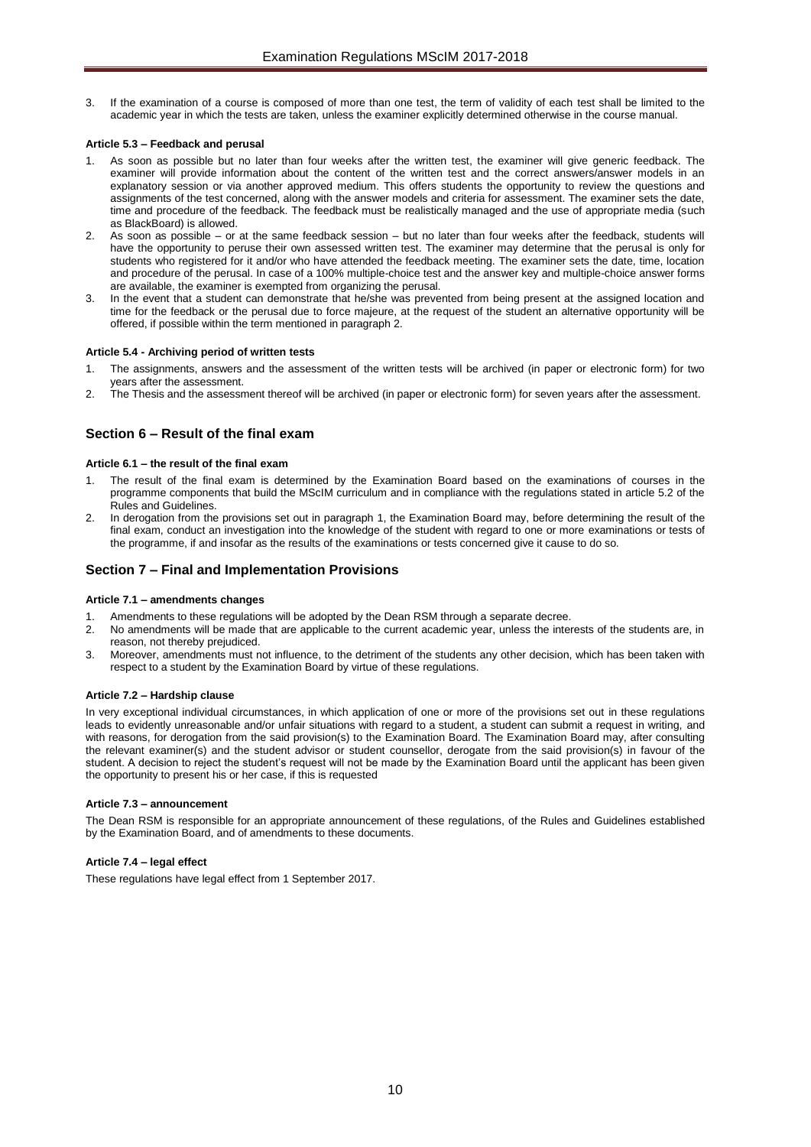3. If the examination of a course is composed of more than one test, the term of validity of each test shall be limited to the academic year in which the tests are taken, unless the examiner explicitly determined otherwise in the course manual.

#### <span id="page-9-0"></span>**Article 5.3 – Feedback and perusal**

- As soon as possible but no later than four weeks after the written test, the examiner will give generic feedback. The examiner will provide information about the content of the written test and the correct answers/answer models in an explanatory session or via another approved medium. This offers students the opportunity to review the questions and assignments of the test concerned, along with the answer models and criteria for assessment. The examiner sets the date, time and procedure of the feedback. The feedback must be realistically managed and the use of appropriate media (such as BlackBoard) is allowed.
- 2. As soon as possible or at the same feedback session but no later than four weeks after the feedback, students will have the opportunity to peruse their own assessed written test. The examiner may determine that the perusal is only for students who registered for it and/or who have attended the feedback meeting. The examiner sets the date, time, location and procedure of the perusal. In case of a 100% multiple-choice test and the answer key and multiple-choice answer forms are available, the examiner is exempted from organizing the perusal.
- In the event that a student can demonstrate that he/she was prevented from being present at the assigned location and time for the feedback or the perusal due to force majeure, at the request of the student an alternative opportunity will be offered, if possible within the term mentioned in paragraph 2.

#### <span id="page-9-1"></span>**Article 5.4 - Archiving period of written tests**

- 1. The assignments, answers and the assessment of the written tests will be archived (in paper or electronic form) for two years after the assessment.
- 2. The Thesis and the assessment thereof will be archived (in paper or electronic form) for seven years after the assessment.

## <span id="page-9-2"></span>**Section 6 – Result of the final exam**

#### <span id="page-9-3"></span>**Article 6.1 – the result of the final exam**

- The result of the final exam is determined by the Examination Board based on the examinations of courses in the programme components that build the MScIM curriculum and in compliance with the regulations stated in article 5.2 of the Rules and Guidelines.
- 2. In derogation from the provisions set out in paragraph 1, the Examination Board may, before determining the result of the final exam, conduct an investigation into the knowledge of the student with regard to one or more examinations or tests of the programme, if and insofar as the results of the examinations or tests concerned give it cause to do so.

# <span id="page-9-4"></span>**Section 7 – Final and Implementation Provisions**

#### <span id="page-9-5"></span>**Article 7.1 – amendments changes**

- Amendments to these regulations will be adopted by the Dean RSM through a separate decree.
- 2. No amendments will be made that are applicable to the current academic year, unless the interests of the students are, in reason, not thereby prejudiced.
- 3. Moreover, amendments must not influence, to the detriment of the students any other decision, which has been taken with respect to a student by the Examination Board by virtue of these regulations.

#### <span id="page-9-6"></span>**Article 7.2 – Hardship clause**

In very exceptional individual circumstances, in which application of one or more of the provisions set out in these regulations leads to evidently unreasonable and/or unfair situations with regard to a student, a student can submit a request in writing, and with reasons, for derogation from the said provision(s) to the Examination Board. The Examination Board may, after consulting the relevant examiner(s) and the student advisor or student counsellor, derogate from the said provision(s) in favour of the student. A decision to reject the student's request will not be made by the Examination Board until the applicant has been given the opportunity to present his or her case, if this is requested

#### <span id="page-9-7"></span>**Article 7.3 – announcement**

The Dean RSM is responsible for an appropriate announcement of these regulations, of the Rules and Guidelines established by the Examination Board, and of amendments to these documents.

#### <span id="page-9-8"></span>**Article 7.4 – legal effect**

These regulations have legal effect from 1 September 2017.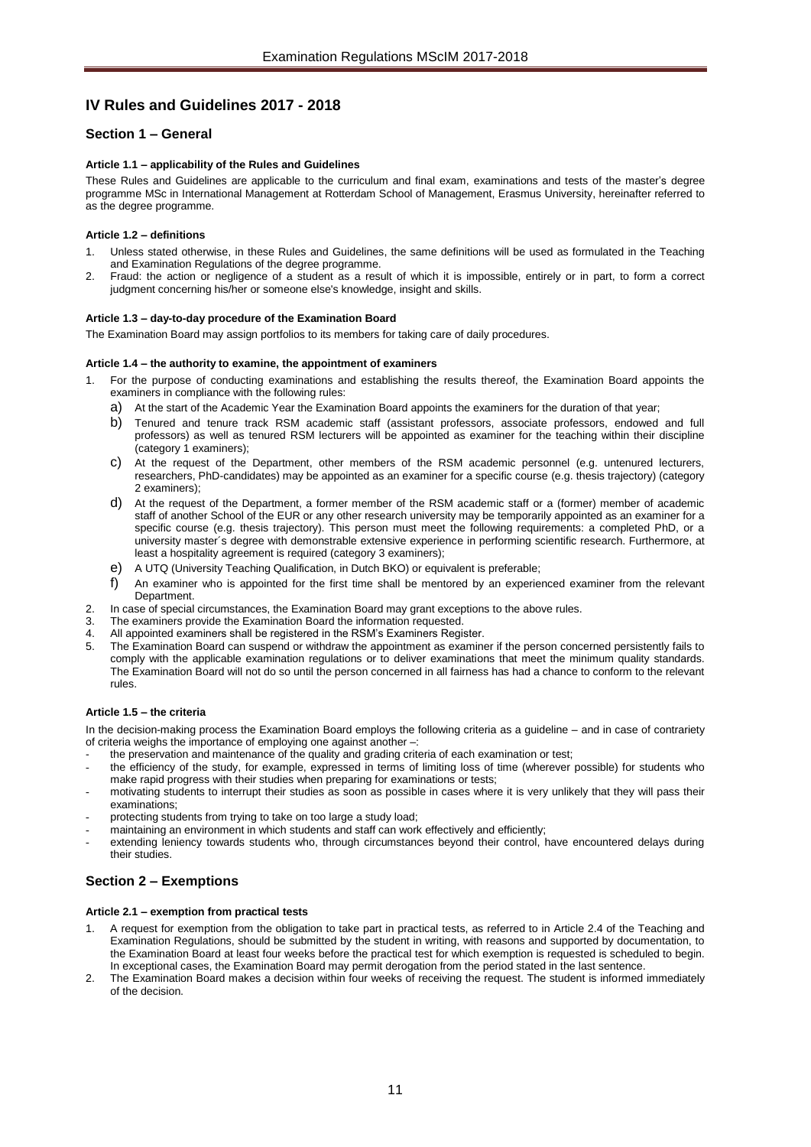# <span id="page-10-0"></span>**IV Rules and Guidelines 2017 - 2018**

# <span id="page-10-2"></span><span id="page-10-1"></span>**Section 1 – General**

#### **Article 1.1 – applicability of the Rules and Guidelines**

These Rules and Guidelines are applicable to the curriculum and final exam, examinations and tests of the master's degree programme MSc in International Management at Rotterdam School of Management, Erasmus University, hereinafter referred to as the degree programme.

#### <span id="page-10-3"></span>**Article 1.2 – definitions**

- Unless stated otherwise, in these Rules and Guidelines, the same definitions will be used as formulated in the Teaching and Examination Regulations of the degree programme.
- 2. Fraud: the action or negligence of a student as a result of which it is impossible, entirely or in part, to form a correct judgment concerning his/her or someone else's knowledge, insight and skills.

#### <span id="page-10-4"></span>**Article 1.3 – day-to-day procedure of the Examination Board**

<span id="page-10-5"></span>The Examination Board may assign portfolios to its members for taking care of daily procedures.

#### **Article 1.4 – the authority to examine, the appointment of examiners**

- 1. For the purpose of conducting examinations and establishing the results thereof, the Examination Board appoints the examiners in compliance with the following rules:
	- a) At the start of the Academic Year the Examination Board appoints the examiners for the duration of that year;
	- b) Tenured and tenure track RSM academic staff (assistant professors, associate professors, endowed and full professors) as well as tenured RSM lecturers will be appointed as examiner for the teaching within their discipline (category 1 examiners);
	- c) At the request of the Department, other members of the RSM academic personnel (e.g. untenured lecturers, researchers, PhD-candidates) may be appointed as an examiner for a specific course (e.g. thesis trajectory) (category 2 examiners);
	- d) At the request of the Department, a former member of the RSM academic staff or a (former) member of academic staff of another School of the EUR or any other research university may be temporarily appointed as an examiner for a specific course (e.g. thesis trajectory). This person must meet the following requirements: a completed PhD, or a university master´s degree with demonstrable extensive experience in performing scientific research. Furthermore, at least a hospitality agreement is required (category 3 examiners);
	- e) A UTQ (University Teaching Qualification, in Dutch BKO) or equivalent is preferable;
	- f) An examiner who is appointed for the first time shall be mentored by an experienced examiner from the relevant Department.
- 2. In case of special circumstances, the Examination Board may grant exceptions to the above rules.
- 3. The examiners provide the Examination Board the information requested.<br>4. All appointed examiners shall be registered in the RSM's Examiners Regi-
- 4. All appointed examiners shall be registered in the RSM's Examiners Register.<br>5. The Examination Board can suspend or withdraw the appointment as examine
- The Examination Board can suspend or withdraw the appointment as examiner if the person concerned persistently fails to comply with the applicable examination regulations or to deliver examinations that meet the minimum quality standards. The Examination Board will not do so until the person concerned in all fairness has had a chance to conform to the relevant rules.

#### <span id="page-10-6"></span>**Article 1.5 – the criteria**

In the decision-making process the Examination Board employs the following criteria as a guideline – and in case of contrariety of criteria weighs the importance of employing one against another –:

- the preservation and maintenance of the quality and grading criteria of each examination or test;
- the efficiency of the study, for example, expressed in terms of limiting loss of time (wherever possible) for students who make rapid progress with their studies when preparing for examinations or tests;
- motivating students to interrupt their studies as soon as possible in cases where it is very unlikely that they will pass their examinations;
- protecting students from trying to take on too large a study load;
- maintaining an environment in which students and staff can work effectively and efficiently;
- extending leniency towards students who, through circumstances beyond their control, have encountered delays during their studies.

# <span id="page-10-8"></span><span id="page-10-7"></span>**Section 2 – Exemptions**

#### **Article 2.1 – exemption from practical tests**

- 1. A request for exemption from the obligation to take part in practical tests, as referred to in Article 2.4 of the Teaching and Examination Regulations, should be submitted by the student in writing, with reasons and supported by documentation, to the Examination Board at least four weeks before the practical test for which exemption is requested is scheduled to begin. In exceptional cases, the Examination Board may permit derogation from the period stated in the last sentence.
- 2. The Examination Board makes a decision within four weeks of receiving the request. The student is informed immediately of the decision.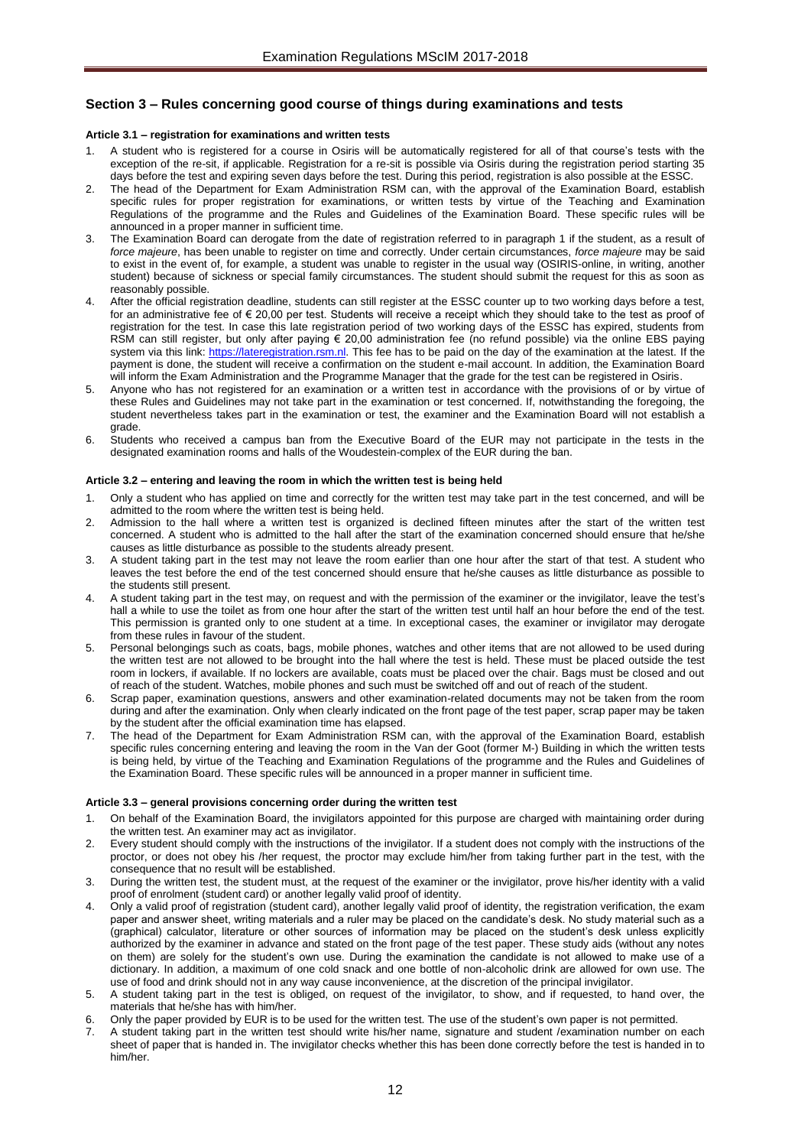# <span id="page-11-1"></span><span id="page-11-0"></span>**Section 3 – Rules concerning good course of things during examinations and tests**

#### **Article 3.1 – registration for examinations and written tests**

- 1. A student who is registered for a course in Osiris will be automatically registered for all of that course's tests with the exception of the re-sit, if applicable. Registration for a re-sit is possible via Osiris during the registration period starting 35 days before the test and expiring seven days before the test. During this period, registration is also possible at the ESSC.
- 2. The head of the Department for Exam Administration RSM can, with the approval of the Examination Board, establish specific rules for proper registration for examinations, or written tests by virtue of the Teaching and Examination Regulations of the programme and the Rules and Guidelines of the Examination Board. These specific rules will be announced in a proper manner in sufficient time.
- 3. The Examination Board can derogate from the date of registration referred to in paragraph 1 if the student, as a result of *force majeure*, has been unable to register on time and correctly. Under certain circumstances, *force majeure* may be said to exist in the event of, for example, a student was unable to register in the usual way (OSIRIS-online, in writing, another student) because of sickness or special family circumstances. The student should submit the request for this as soon as reasonably possible.
- After the official registration deadline, students can still register at the ESSC counter up to two working days before a test, for an administrative fee of € 20,00 per test. Students will receive a receipt which they should take to the test as proof of registration for the test. In case this late registration period of two working days of the ESSC has expired, students from RSM can still register, but only after paying € 20,00 administration fee (no refund possible) via the online EBS paying system via this link: [https://lateregistration.rsm.nl.](https://lateregistration.rsm.nl/) This fee has to be paid on the day of the examination at the latest. If the payment is done, the student will receive a confirmation on the student e-mail account. In addition, the Examination Board will inform the Exam Administration and the Programme Manager that the grade for the test can be registered in Osiris.
- 5. Anyone who has not registered for an examination or a written test in accordance with the provisions of or by virtue of these Rules and Guidelines may not take part in the examination or test concerned. If, notwithstanding the foregoing, the student nevertheless takes part in the examination or test, the examiner and the Examination Board will not establish a grade.
- 6. Students who received a campus ban from the Executive Board of the EUR may not participate in the tests in the designated examination rooms and halls of the Woudestein-complex of the EUR during the ban.

#### <span id="page-11-2"></span>**Article 3.2 – entering and leaving the room in which the written test is being held**

- 1. Only a student who has applied on time and correctly for the written test may take part in the test concerned, and will be admitted to the room where the written test is being held.
- 2. Admission to the hall where a written test is organized is declined fifteen minutes after the start of the written test concerned. A student who is admitted to the hall after the start of the examination concerned should ensure that he/she causes as little disturbance as possible to the students already present.
- 3. A student taking part in the test may not leave the room earlier than one hour after the start of that test. A student who leaves the test before the end of the test concerned should ensure that he/she causes as little disturbance as possible to the students still present.
- 4. A student taking part in the test may, on request and with the permission of the examiner or the invigilator, leave the test's hall a while to use the toilet as from one hour after the start of the written test until half an hour before the end of the test. This permission is granted only to one student at a time. In exceptional cases, the examiner or invigilator may derogate from these rules in favour of the student.
- 5. Personal belongings such as coats, bags, mobile phones, watches and other items that are not allowed to be used during the written test are not allowed to be brought into the hall where the test is held. These must be placed outside the test room in lockers, if available. If no lockers are available, coats must be placed over the chair. Bags must be closed and out of reach of the student. Watches, mobile phones and such must be switched off and out of reach of the student.
- 6. Scrap paper, examination questions, answers and other examination-related documents may not be taken from the room during and after the examination. Only when clearly indicated on the front page of the test paper, scrap paper may be taken by the student after the official examination time has elapsed.
- 7. The head of the Department for Exam Administration RSM can, with the approval of the Examination Board, establish specific rules concerning entering and leaving the room in the Van der Goot (former M-) Building in which the written tests is being held, by virtue of the Teaching and Examination Regulations of the programme and the Rules and Guidelines of the Examination Board. These specific rules will be announced in a proper manner in sufficient time.

#### <span id="page-11-3"></span>**Article 3.3 – general provisions concerning order during the written test**

- 1. On behalf of the Examination Board, the invigilators appointed for this purpose are charged with maintaining order during the written test. An examiner may act as invigilator.
- 2. Every student should comply with the instructions of the invigilator. If a student does not comply with the instructions of the proctor, or does not obey his /her request, the proctor may exclude him/her from taking further part in the test, with the consequence that no result will be established.
- 3. During the written test, the student must, at the request of the examiner or the invigilator, prove his/her identity with a valid proof of enrolment (student card) or another legally valid proof of identity.
- 4. Only a valid proof of registration (student card), another legally valid proof of identity, the registration verification, the exam paper and answer sheet, writing materials and a ruler may be placed on the candidate's desk. No study material such as a (graphical) calculator, literature or other sources of information may be placed on the student's desk unless explicitly authorized by the examiner in advance and stated on the front page of the test paper. These study aids (without any notes on them) are solely for the student's own use. During the examination the candidate is not allowed to make use of a dictionary. In addition, a maximum of one cold snack and one bottle of non-alcoholic drink are allowed for own use. The use of food and drink should not in any way cause inconvenience, at the discretion of the principal invigilator.
- 5. A student taking part in the test is obliged, on request of the invigilator, to show, and if requested, to hand over, the materials that he/she has with him/her.
- 6. Only the paper provided by EUR is to be used for the written test. The use of the student's own paper is not permitted.
- A student taking part in the written test should write his/her name, signature and student /examination number on each sheet of paper that is handed in. The invigilator checks whether this has been done correctly before the test is handed in to him/her.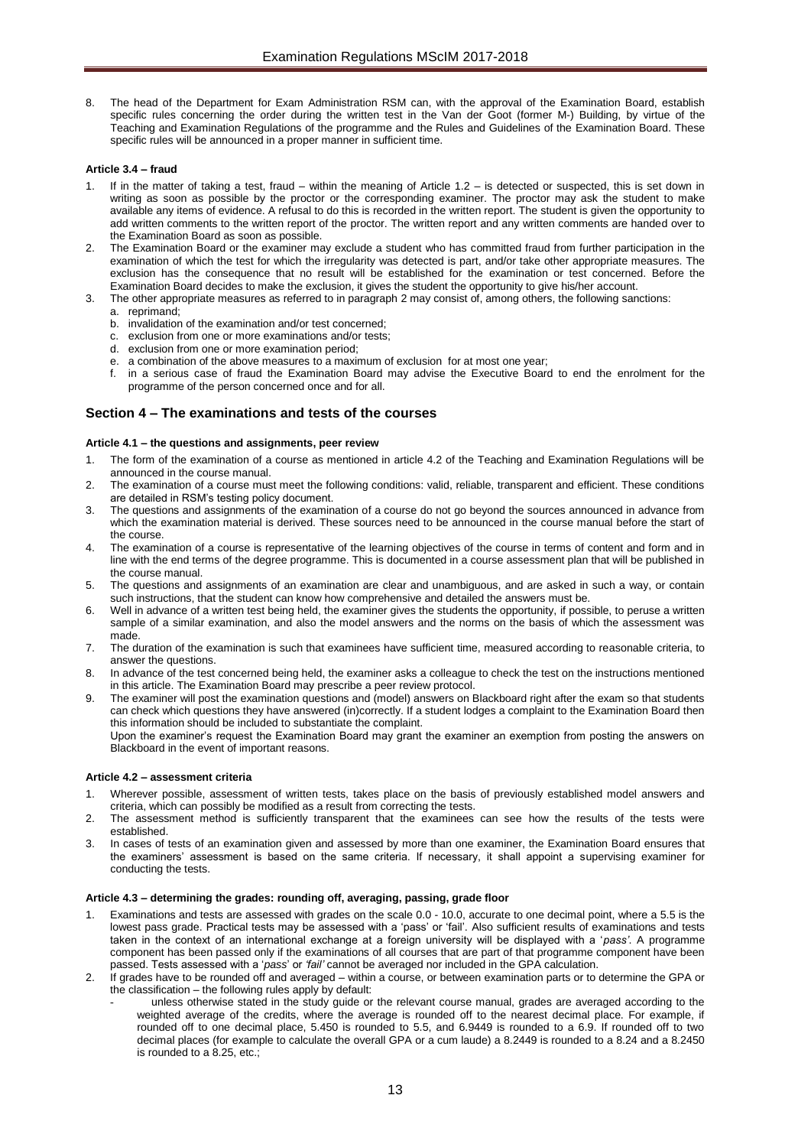The head of the Department for Exam Administration RSM can, with the approval of the Examination Board, establish specific rules concerning the order during the written test in the Van der Goot (former M-) Building, by virtue of the Teaching and Examination Regulations of the programme and the Rules and Guidelines of the Examination Board. These specific rules will be announced in a proper manner in sufficient time.

#### <span id="page-12-0"></span>**Article 3.4 – fraud**

- If in the matter of taking a test, fraud within the meaning of Article 1.2 is detected or suspected, this is set down in writing as soon as possible by the proctor or the corresponding examiner. The proctor may ask the student to make available any items of evidence. A refusal to do this is recorded in the written report. The student is given the opportunity to add written comments to the written report of the proctor. The written report and any written comments are handed over to the Examination Board as soon as possible.
- The Examination Board or the examiner may exclude a student who has committed fraud from further participation in the examination of which the test for which the irregularity was detected is part, and/or take other appropriate measures. The exclusion has the consequence that no result will be established for the examination or test concerned. Before the Examination Board decides to make the exclusion, it gives the student the opportunity to give his/her account.
- The other appropriate measures as referred to in paragraph 2 may consist of, among others, the following sanctions:
	- a. reprimand;
	- b. invalidation of the examination and/or test concerned;
	- c. exclusion from one or more examinations and/or tests;
	- d. exclusion from one or more examination period;
	- e. a combination of the above measures to a maximum of exclusion for at most one year;
	- in a serious case of fraud the Examination Board may advise the Executive Board to end the enrolment for the programme of the person concerned once and for all.

## <span id="page-12-1"></span>**Section 4 – The examinations and tests of the courses**

#### <span id="page-12-2"></span>**Article 4.1 – the questions and assignments, peer review**

- 1. The form of the examination of a course as mentioned in article 4.2 of the Teaching and Examination Regulations will be announced in the course manual.
- 2. The examination of a course must meet the following conditions: valid, reliable, transparent and efficient. These conditions are detailed in RSM's testing policy document.
- 3. The questions and assignments of the examination of a course do not go beyond the sources announced in advance from which the examination material is derived. These sources need to be announced in the course manual before the start of the course.
- 4. The examination of a course is representative of the learning objectives of the course in terms of content and form and in line with the end terms of the degree programme. This is documented in a course assessment plan that will be published in the course manual.
- 5. The questions and assignments of an examination are clear and unambiguous, and are asked in such a way, or contain such instructions, that the student can know how comprehensive and detailed the answers must be.
- 6. Well in advance of a written test being held, the examiner gives the students the opportunity, if possible, to peruse a written sample of a similar examination, and also the model answers and the norms on the basis of which the assessment was made.
- 7. The duration of the examination is such that examinees have sufficient time, measured according to reasonable criteria, to answer the questions.
- 8. In advance of the test concerned being held, the examiner asks a colleague to check the test on the instructions mentioned in this article. The Examination Board may prescribe a peer review protocol.
- 9. The examiner will post the examination questions and (model) answers on Blackboard right after the exam so that students can check which questions they have answered (in)correctly. If a student lodges a complaint to the Examination Board then this information should be included to substantiate the complaint.

Upon the examiner's request the Examination Board may grant the examiner an exemption from posting the answers on Blackboard in the event of important reasons.

#### <span id="page-12-3"></span>**Article 4.2 – assessment criteria**

- 1. Wherever possible, assessment of written tests, takes place on the basis of previously established model answers and criteria, which can possibly be modified as a result from correcting the tests.
- 2. The assessment method is sufficiently transparent that the examinees can see how the results of the tests were established.
- 3. In cases of tests of an examination given and assessed by more than one examiner, the Examination Board ensures that the examiners' assessment is based on the same criteria. If necessary, it shall appoint a supervising examiner for conducting the tests.

#### <span id="page-12-4"></span>**Article 4.3 – determining the grades: rounding off, averaging, passing, grade floor**

- Examinations and tests are assessed with grades on the scale 0.0 10.0, accurate to one decimal point, where a 5.5 is the lowest pass grade. Practical tests may be assessed with a 'pass' or 'fail'. Also sufficient results of examinations and tests taken in the context of an international exchange at a foreign university will be displayed with a '*pass'*. A programme component has been passed only if the examinations of all courses that are part of that programme component have been passed. Tests assessed with a '*pass*' or *'fail'* cannot be averaged nor included in the GPA calculation.
- 2. If grades have to be rounded off and averaged within a course, or between examination parts or to determine the GPA or the classification – the following rules apply by default:
	- unless otherwise stated in the study guide or the relevant course manual, grades are averaged according to the weighted average of the credits, where the average is rounded off to the nearest decimal place. For example, if rounded off to one decimal place, 5.450 is rounded to 5.5, and 6.9449 is rounded to a 6.9. If rounded off to two decimal places (for example to calculate the overall GPA or a cum laude) a 8.2449 is rounded to a 8.24 and a 8.2450 is rounded to a  $8.25$ , etc.;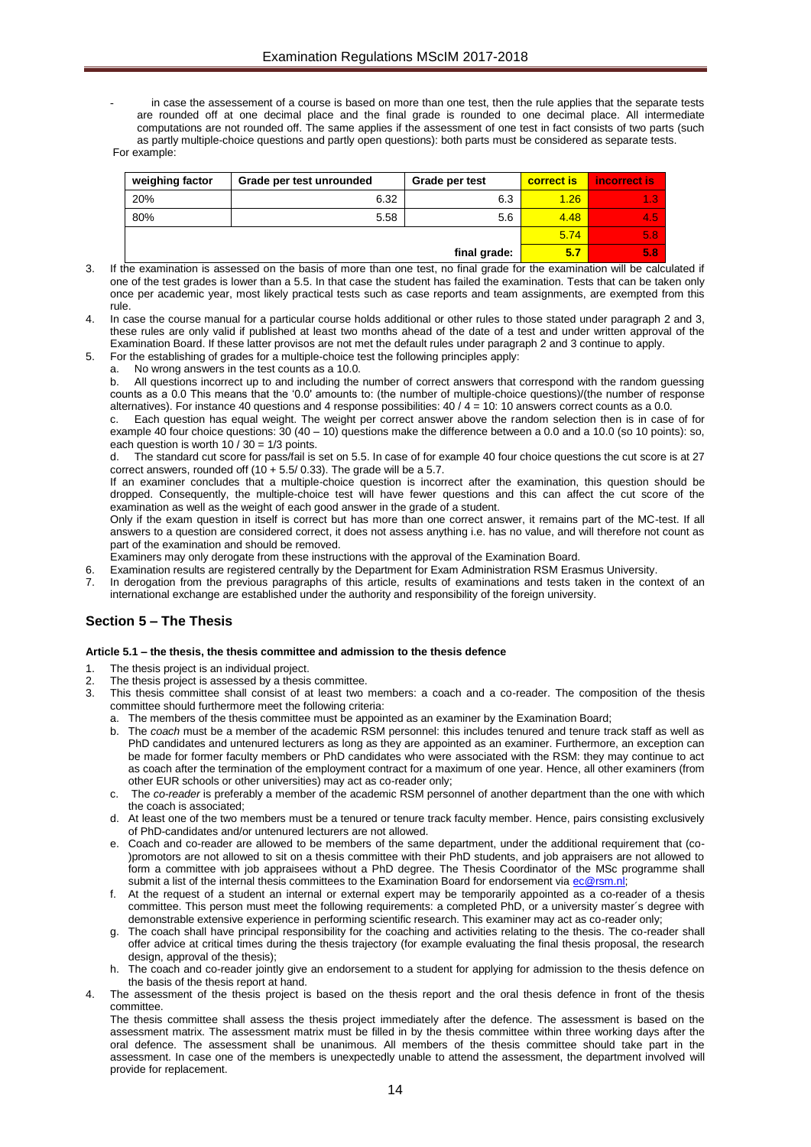in case the assessement of a course is based on more than one test, then the rule applies that the separate tests are rounded off at one decimal place and the final grade is rounded to one decimal place. All intermediate computations are not rounded off. The same applies if the assessment of one test in fact consists of two parts (such as partly multiple-choice questions and partly open questions): both parts must be considered as separate tests. For example:

| weighing factor | Grade per test unrounded | Grade per test   | correct is | incorrect is |
|-----------------|--------------------------|------------------|------------|--------------|
| 20%             | 6.32                     | 6.3              | 1.26       | 1.3          |
| 80%             | 5.58                     | 5.6              | 4.48       | 4.5          |
|                 | 5.74                     | 5.8              |            |              |
|                 | 5.7                      | 5.8 <sub>1</sub> |            |              |

- 3. If the examination is assessed on the basis of more than one test, no final grade for the examination will be calculated if one of the test grades is lower than a 5.5. In that case the student has failed the examination. Tests that can be taken only once per academic year, most likely practical tests such as case reports and team assignments, are exempted from this rule.
- In case the course manual for a particular course holds additional or other rules to those stated under paragraph 2 and 3, these rules are only valid if published at least two months ahead of the date of a test and under written approval of the Examination Board. If these latter provisos are not met the default rules under paragraph 2 and 3 continue to apply.
- 5. For the establishing of grades for a multiple-choice test the following principles apply:
	- No wrong answers in the test counts as a 10.0.

b. All questions incorrect up to and including the number of correct answers that correspond with the random guessing counts as a 0.0 This means that the '0.0' amounts to: (the number of multiple-choice questions)/(the number of response alternatives). For instance 40 questions and 4 response possibilities:  $40 / 4 = 10$ : 10 answers correct counts as a 0.0.

c. Each question has equal weight. The weight per correct answer above the random selection then is in case of for example 40 four choice questions:  $30 (40 - 10)$  questions make the difference between a 0.0 and a 10.0 (so 10 points): so, each question is worth  $10 / 30 = 1/3$  points.

d. The standard cut score for pass/fail is set on 5.5. In case of for example 40 four choice questions the cut score is at 27 correct answers, rounded off  $(10 + 5.5/ 0.33)$ . The grade will be a 5.7.

If an examiner concludes that a multiple-choice question is incorrect after the examination, this question should be dropped. Consequently, the multiple-choice test will have fewer questions and this can affect the cut score of the examination as well as the weight of each good answer in the grade of a student.

Only if the exam question in itself is correct but has more than one correct answer, it remains part of the MC-test. If all answers to a question are considered correct, it does not assess anything i.e. has no value, and will therefore not count as part of the examination and should be removed.

Examiners may only derogate from these instructions with the approval of the Examination Board.

- 6. Examination results are registered centrally by the Department for Exam Administration RSM Erasmus University.
- 7. In derogation from the previous paragraphs of this article, results of examinations and tests taken in the context of an international exchange are established under the authority and responsibility of the foreign university.

# <span id="page-13-0"></span>**Section 5 – The Thesis**

#### <span id="page-13-1"></span>**Article 5.1 – the thesis, the thesis committee and admission to the thesis defence**

- 1. The thesis project is an individual project.
- 2. The thesis project is assessed by a thesis committee.
- 3. This thesis committee shall consist of at least two members: a coach and a co-reader. The composition of the thesis committee should furthermore meet the following criteria:
	- a. The members of the thesis committee must be appointed as an examiner by the Examination Board;
	- b. The *coach* must be a member of the academic RSM personnel: this includes tenured and tenure track staff as well as PhD candidates and untenured lecturers as long as they are appointed as an examiner. Furthermore, an exception can be made for former faculty members or PhD candidates who were associated with the RSM: they may continue to act as coach after the termination of the employment contract for a maximum of one year. Hence, all other examiners (from other EUR schools or other universities) may act as co-reader only;
	- c. The *co-reader* is preferably a member of the academic RSM personnel of another department than the one with which the coach is associated;
	- d. At least one of the two members must be a tenured or tenure track faculty member. Hence, pairs consisting exclusively of PhD-candidates and/or untenured lecturers are not allowed.
	- e. Coach and co-reader are allowed to be members of the same department, under the additional requirement that (co- )promotors are not allowed to sit on a thesis committee with their PhD students, and job appraisers are not allowed to form a committee with job appraisees without a PhD degree. The Thesis Coordinator of the MSc programme shall submit a list of the internal thesis committees to the Examination Board for endorsement vi[a ec@rsm.nl;](mailto:ec@rsm.nl)
	- f. At the request of a student an internal or external expert may be temporarily appointed as a co-reader of a thesis committee. This person must meet the following requirements: a completed PhD, or a university master´s degree with demonstrable extensive experience in performing scientific research. This examiner may act as co-reader only;
	- g. The coach shall have principal responsibility for the coaching and activities relating to the thesis. The co-reader shall offer advice at critical times during the thesis trajectory (for example evaluating the final thesis proposal, the research design, approval of the thesis);
	- h. The coach and co-reader jointly give an endorsement to a student for applying for admission to the thesis defence on the basis of the thesis report at hand.
	- The assessment of the thesis project is based on the thesis report and the oral thesis defence in front of the thesis committee.

The thesis committee shall assess the thesis project immediately after the defence. The assessment is based on the assessment matrix. The assessment matrix must be filled in by the thesis committee within three working days after the oral defence. The assessment shall be unanimous. All members of the thesis committee should take part in the assessment. In case one of the members is unexpectedly unable to attend the assessment, the department involved will provide for replacement.